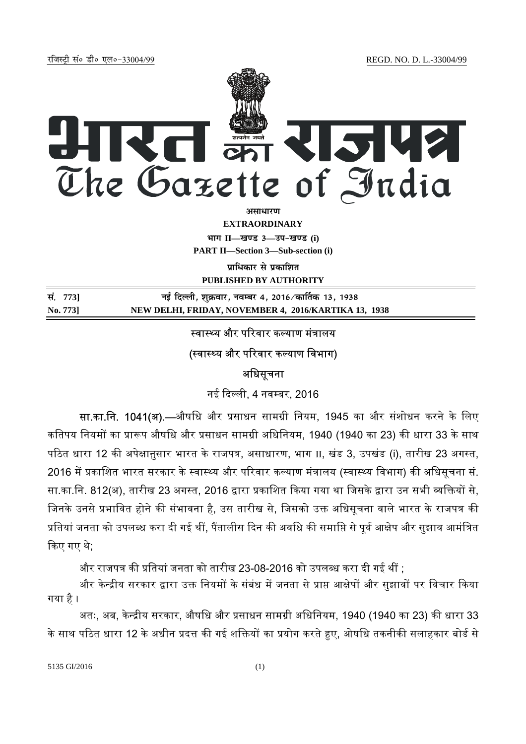jftLVªh laö Mhö ,yö&33004@99 REGD. NO. D. L.-33004/99



**EXTRAORDINARY**

**Hkkx II—[k.M 3—mi&[k.M (i)**

**PART II—Section 3—Sub-section (i)** 

**पाधिकार से प्रकाशित PUBLISHED BY AUTHORITY**

**la- 773] ubZ fnYyh] 'kqØokj] uoEcj 4] 2016@dk£rd 13] 1938 No. 773] NEW DELHI, FRIDAY, NOVEMBER 4, 2016/KARTIKA 13, 1938**

### स्वास्थ्य और परिवार कल्याण मंत्रालय

## (स्वास्थ्य और परिवार कल्याण विभाग)

## अधिसूचना

नई दिल्ली, 4 नवम्बर, 2016

सा.का.नि. 1041(अ).—औषधि और प्रसाधन सामग्री नियम, 1945 का और संशोधन करने के लिए कतिपय नियमों का प्रारूप औषधि और प्रसाधन सामग्री अधिनियम, 1940 (1940 का 23) की धारा 33 के साथ पठित धारा 12 की अपेक्षानुसार भारत के राजपत्र, असाधारण, भाग II, खंड 3, उपखंड (i), तारीख 23 अगस्त, 2016 में प्रकाशित भारत सरकार के स्वास्थ्य और परिवार कल्याण मंत्रालय (स्वास्थ्य विभाग) की अधिसूचना सं. सा.का.नि. 812(अ), तारीख 23 अगस्त, 2016 द्वारा प्रकाशित किया गया था जिसके द्वारा उन सभी व्यक्तियों से, जिनके उनसे प्रभावित होने की संभावना है, उस तारीख से, जिसको उक्त अधिसूचना वाले भारत के राजपत्र की प्रतियां जनता को उपलब्ध करा दी गई थीं, पैंतालीस दिन की अवधि की समाप्ति से पूर्व आक्षेप और सुझाव आमंत्रित ᳰकए गए थे;

और राजपत्र की प्रतियां जनता को तारीख 23-08-2016 को उपलब्ध करा दी गई थीं :

और केन्द्रीय सरकार द्वारा उक्त नियमों के संबंध में जनता से प्राप्त आक्षेपों और सुझावों पर विचार किया गया है ।

अतः, अब, केन्द्रीय सरकार, औषधि और प्रसाधन सामग्री अधिनियम, 1940 (1940 का 23) की धारा 33 के साथ पठित धारा 12 के अधीन प्रदत्त की गई शक्तियों का प्रयोग करते हुए, ओषधि तकनीकी सलाहकार बोर्ड से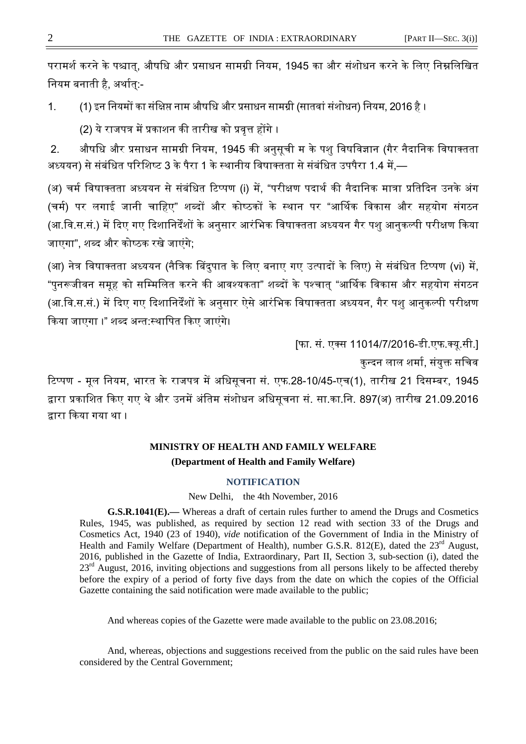परामर्श करने के पश्चात्, औषधि और प्रसाधन सामग्री नियम, 1945 का और संशोधन करने के लिए निम्नलिखित नियम बनाती है, अर्थात:-

1. (1) इन नियमों का संक्षिप्त नाम औषधि और प्रसाधन सामग्री (सातवां संशोधन) नियम, 2016 है ।

(2) ये राजपत्र में प्रकाशन की तारीख को प्रवृत्त होंगे ।

2. औषधि और प्रसाधन सामग्री नियम, 1945 की अनुसूची म के पशु विषविज्ञान (गैर नैदानिक विषाक्तता अध्ययन) से संबंधित परिशिष्ट 3 के पैरा 1 के स्थानीय विषाक्तता से संबंधित उपपैरा 1.4 में,—

(अ) चर्म विषाक्तता अध्ययन से संबंधित टिप्पण (i) में. "परीक्षण पदार्थ की नैदानिक मात्रा प्रतिदिन उनके अंग (चर्म) पर लगाई जानी चाहिए" शब्दों और कोष्ठकों के स्थान पर "आर्थिक विकास और सहयोग संगठन (आ.वि.स.सं.) में दिए गए दिशानिर्देंशों के अनुसार आरंभिक विषाक्तता अध्ययन गैर पशु आनुकल्पी परीक्षण किया जाएगा", शब्द और कोष्ठक रखे जाएंगे;

(आ) नेत्र विषाक्तता अध्ययन (नैत्रिक बिंदपात के लिए बनाए गए उत्पादों के लिए) से संबंधित टिप्पण (vi) में, "पुनरूजीवन समूह को सम्मिलित करने की आवश्यकता" शब्दों के पश्चात् "आर्थिक विकास और सहयोग संगठन (आ.वि.स.सं.) में दिए गए दिशानिर्देंशों के अनुसार ऐसे आरंभिक विषाक्तता अध्ययन, गैर पशु आनुकल्पी परीक्षण किया जाएगा ।" शब्द अन्त:स्थापित किए जाएंगे।

[फा. सं. एक्स 11014/7/2016-डी.एफ.क्यु.सी.]

कन्दन लाल शर्मा, संयुक्त सचिव

टिप्पण - मूल नियम, भारत के राजपत्र में अधिसूचना सं. एफ.28-10/45-एच(1), तारीख 21 दिसम्बर, 1945 द्वारा प्रकाशित किए गए थे और उनमें अंतिम संशोधन अधिसूचना सं. सा.का.नि. 897(अ) तारीख 21.09.2016 द्वारा किया गया था ।

# **MINISTRY OF HEALTH AND FAMILY WELFARE (Department of Health and Family Welfare)**

### **NOTIFICATION**

New Delhi, the 4th November, 2016

**G.S.R.1041(E).—** Whereas a draft of certain rules further to amend the Drugs and Cosmetics Rules, 1945, was published, as required by section 12 read with section 33 of the Drugs and Cosmetics Act, 1940 (23 of 1940), *vide* notification of the Government of India in the Ministry of Health and Family Welfare (Department of Health), number G.S.R. 812(E), dated the  $23<sup>rd</sup>$  August, 2016, published in the Gazette of India, Extraordinary, Part II, Section 3, sub-section (i), dated the 23<sup>rd</sup> August, 2016, inviting objections and suggestions from all persons likely to be affected thereby before the expiry of a period of forty five days from the date on which the copies of the Official Gazette containing the said notification were made available to the public;

And whereas copies of the Gazette were made available to the public on 23.08.2016;

And, whereas, objections and suggestions received from the public on the said rules have been considered by the Central Government;